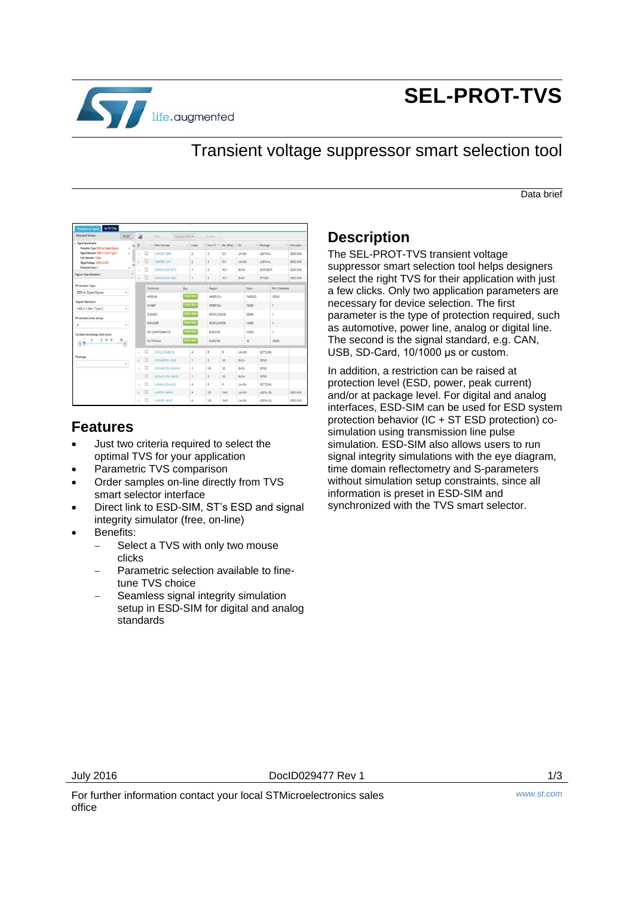

# **SEL-PROT-TVS**

## Transient voltage suppressor smart selection tool

Data brief

| <b>Selected Values</b>                                            | RESET          |          | d |                            | More              | Selected CP/Is *   |                      | Similate                 |                   |         |        |          |               |           |
|-------------------------------------------------------------------|----------------|----------|---|----------------------------|-------------------|--------------------|----------------------|--------------------------|-------------------|---------|--------|----------|---------------|-----------|
| - Sgnal Specification<br>Protection Type: ESD for Digital Signals | x              | $\wedge$ | E |                            | Part Number       |                    | $-$ Lines            | Var(V)                   | $Bw$ (GHz) $\vee$ | Dir     | $\sim$ | Package  | $\mathcal{L}$ | Simulator |
| Signal Standard: USB 1.1 Gent Type C                              |                |          |   | ο                          | <b>HSP061-2M6</b> |                    | $\overline{a}$       |                          | 5.5               | Uni-Dir |        | LOFN-6L  |               | ESD-SIM   |
| Link Datarate: 5 Obps<br>Signal Voltage: - 0.25 to 0.25 V         | x              |          |   | α                          | HSP081-2N4        |                    | $\overline{2}$       | 3                        | 5.5               | Uni-Dir |        | LOFALE!  |               | ESD-SIM   |
| Protected Linee: 4                                                |                |          |   | п                          | ESDAXLC6-1BT2     |                    | $\mathbf{I}$         | $\overline{3}$           | 10.1              | B-Dir   |        | SOD-882T |               | ESD-SIM   |
| Signal Specification                                              |                |          |   | o<br><b>ESDAXI C6-18U2</b> |                   | $\mathbf{r}$       |                      | 3<br>10.1                |                   | Bi-Dir  |        | ST0201   |               | ESD-SIM   |
| Protection Type                                                   |                |          |   |                            |                   | Buy                |                      |                          |                   |         | Stock  |          | Min Onterable |           |
| ESD for Digital Signals<br>÷                                      |                |          |   | Distributor                |                   |                    | Region<br>Order Now  |                          |                   |         |        |          |               |           |
| Signal Standard                                                   |                |          |   | ARROW                      |                   |                    |                      | AMERICA                  |                   | 7485000 |        |          | 15000         |           |
| USB 3.1 Gen1 Type C                                               | v.             |          |   | AVNET                      |                   |                    | Order Row<br>AMERICA |                          | 75000             |         | 1      |          |               |           |
| Protected Lines (max)                                             |                |          |   | DIGIKEY                    |                   | <b>Drder Now</b>   |                      | WORLDWIDE                |                   |         | 35948  |          | 1             |           |
|                                                                   | ۰              |          |   | MOUSER                     |                   | Order Now          |                      | WORLDWIDE                |                   |         | 14990  |          | $\mathbf{1}$  |           |
| Contact discharge (kV) (min)                                      |                |          |   |                            | RS COMPONENTS     | <b>Circler Now</b> |                      | EUROPE                   |                   | 13000   |        | ¥        |               |           |
| 8 10 12<br>$\blacktriangleleft$                                   | $\frac{16}{1}$ |          |   |                            | <b>RUTRONK</b>    |                    | Order Now            | EUROPE                   |                   | 10      |        |          | 15000         |           |
|                                                                   |                |          |   | o                          | DWULC6-4SC8       |                    | 4                    | $\overline{5}$           | 6                 | Uni-Dir |        | SOT23-6L |               |           |
| Package                                                           | ۰              |          |   | o                          | ESDARF02-1BU2     |                    | $\mathbf{1}$         | $\overline{\mathbf{a}}$  | 18                | RLDr.   |        | DEN2     |               |           |
|                                                                   |                |          |   | α                          | ESDARF02-1BU2CK   |                    | f.                   | 3.6                      | 20                | $B-DF$  |        | DFN2     |               |           |
|                                                                   |                |          |   | □                          | ESDAXLC6-1BU2K    |                    | ï                    | $\overline{\phantom{a}}$ | 18                | Bi-Dir  |        | DFN2     |               |           |
|                                                                   |                |          |   | □                          | HDMIULC6-4SC6     |                    | 4                    | $\overline{\phantom{a}}$ | ò                 | Uni-Dir |        | SOT23-6L |               |           |
|                                                                   |                |          |   | o                          | HSP051-4M10       |                    | $\ddot{\text{a}}$    | 3.6                      | 14.6              | Uni-Dir |        | LOFN-1BL |               | ESD-SIM   |
|                                                                   |                |          |   | ο                          | HSP051-4N10       |                    | 4                    | 3.6                      | 14.6              | Uni-Dir |        | UOFN-1BL |               | ESD-SIM   |

### **Features**

- Just two criteria required to select the optimal TVS for your application
- Parametric TVS comparison
- Order samples on-line directly from TVS smart selector interface
- Direct link to ESD-SIM, ST's ESD and signal integrity simulator (free, on-line)
- Benefits:
	- Select a TVS with only two mouse clicks
	- Parametric selection available to finetune TVS choice
	- Seamless signal integrity simulation setup in ESD-SIM for digital and analog standards

### **Description**

The SEL-PROT-TVS transient voltage suppressor smart selection tool helps designers select the right TVS for their application with just a few clicks. Only two application parameters are necessary for device selection. The first parameter is the type of protection required, such as automotive, power line, analog or digital line. The second is the signal standard, e.g. CAN, USB, SD-Card, 10/1000 μs or custom.

In addition, a restriction can be raised at protection level (ESD, power, peak current) and/or at package level. For digital and analog interfaces, ESD-SIM can be used for ESD system protection behavior (IC + ST ESD protection) cosimulation using transmission line pulse simulation. ESD-SIM also allows users to run signal integrity simulations with the eye diagram, time domain reflectometry and S-parameters without simulation setup constraints, since all information is preset in ESD-SIM and synchronized with the TVS smart selector.

July 2016 DocID029477 Rev 1 1/3

For further information contact your local STMicroelectronics sales office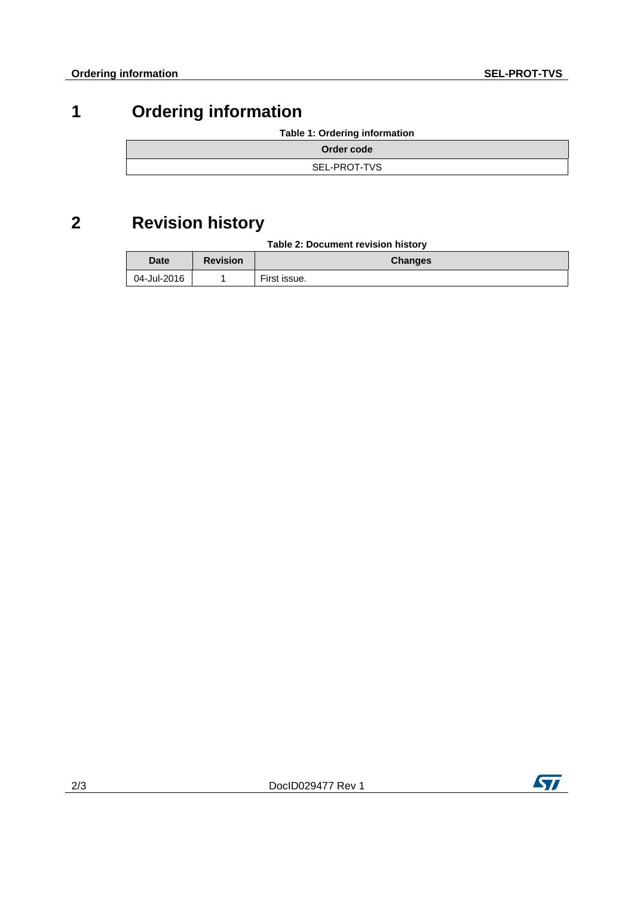# **1 Ordering information**

**Table 1: Ordering information**

| Order code   |
|--------------|
| SEL-PROT-TVS |

# **2 Revision history**

| Table 2: Document revision history |  |  |
|------------------------------------|--|--|
|------------------------------------|--|--|

| <b>Date</b> | <b>Revision</b> | <b>Changes</b> |
|-------------|-----------------|----------------|
| 04-Jul-2016 |                 | First issue.   |